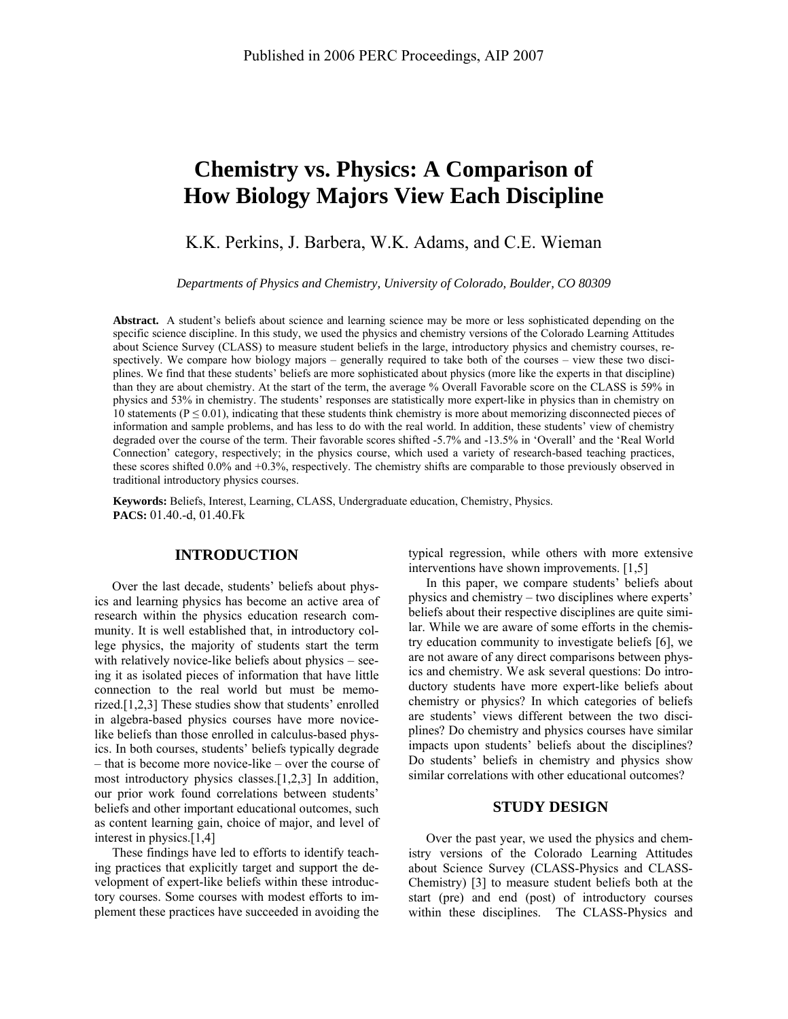# **Chemistry vs. Physics: A Comparison of How Biology Majors View Each Discipline**

K.K. Perkins, J. Barbera, W.K. Adams, and C.E. Wieman

*Departments of Physics and Chemistry, University of Colorado, Boulder, CO 80309* 

**Abstract.** A student's beliefs about science and learning science may be more or less sophisticated depending on the specific science discipline. In this study, we used the physics and chemistry versions of the Colorado Learning Attitudes about Science Survey (CLASS) to measure student beliefs in the large, introductory physics and chemistry courses, respectively. We compare how biology majors – generally required to take both of the courses – view these two disciplines. We find that these students' beliefs are more sophisticated about physics (more like the experts in that discipline) than they are about chemistry. At the start of the term, the average % Overall Favorable score on the CLASS is 59% in physics and 53% in chemistry. The students' responses are statistically more expert-like in physics than in chemistry on 10 statements ( $P \le 0.01$ ), indicating that these students think chemistry is more about memorizing disconnected pieces of information and sample problems, and has less to do with the real world. In addition, these students' view of chemistry degraded over the course of the term. Their favorable scores shifted -5.7% and -13.5% in 'Overall' and the 'Real World Connection' category, respectively; in the physics course, which used a variety of research-based teaching practices, these scores shifted 0.0% and +0.3%, respectively. The chemistry shifts are comparable to those previously observed in traditional introductory physics courses.

**Keywords:** Beliefs, Interest, Learning, CLASS, Undergraduate education, Chemistry, Physics. **PACS:** 01.40.-d, 01.40.Fk

## **INTRODUCTION**

Over the last decade, students' beliefs about physics and learning physics has become an active area of research within the physics education research community. It is well established that, in introductory college physics, the majority of students start the term with relatively novice-like beliefs about physics – seeing it as isolated pieces of information that have little connection to the real world but must be memorized.[1,2,3] These studies show that students' enrolled in algebra-based physics courses have more novicelike beliefs than those enrolled in calculus-based physics. In both courses, students' beliefs typically degrade – that is become more novice-like – over the course of most introductory physics classes.[1,2,3] In addition, our prior work found correlations between students' beliefs and other important educational outcomes, such as content learning gain, choice of major, and level of interest in physics.[1,4]

These findings have led to efforts to identify teaching practices that explicitly target and support the development of expert-like beliefs within these introductory courses. Some courses with modest efforts to implement these practices have succeeded in avoiding the typical regression, while others with more extensive interventions have shown improvements. [1,5]

In this paper, we compare students' beliefs about physics and chemistry – two disciplines where experts' beliefs about their respective disciplines are quite similar. While we are aware of some efforts in the chemistry education community to investigate beliefs [6], we are not aware of any direct comparisons between physics and chemistry. We ask several questions: Do introductory students have more expert-like beliefs about chemistry or physics? In which categories of beliefs are students' views different between the two disciplines? Do chemistry and physics courses have similar impacts upon students' beliefs about the disciplines? Do students' beliefs in chemistry and physics show similar correlations with other educational outcomes?

#### **STUDY DESIGN**

Over the past year, we used the physics and chemistry versions of the Colorado Learning Attitudes about Science Survey (CLASS-Physics and CLASS-Chemistry) [3] to measure student beliefs both at the start (pre) and end (post) of introductory courses within these disciplines. The CLASS-Physics and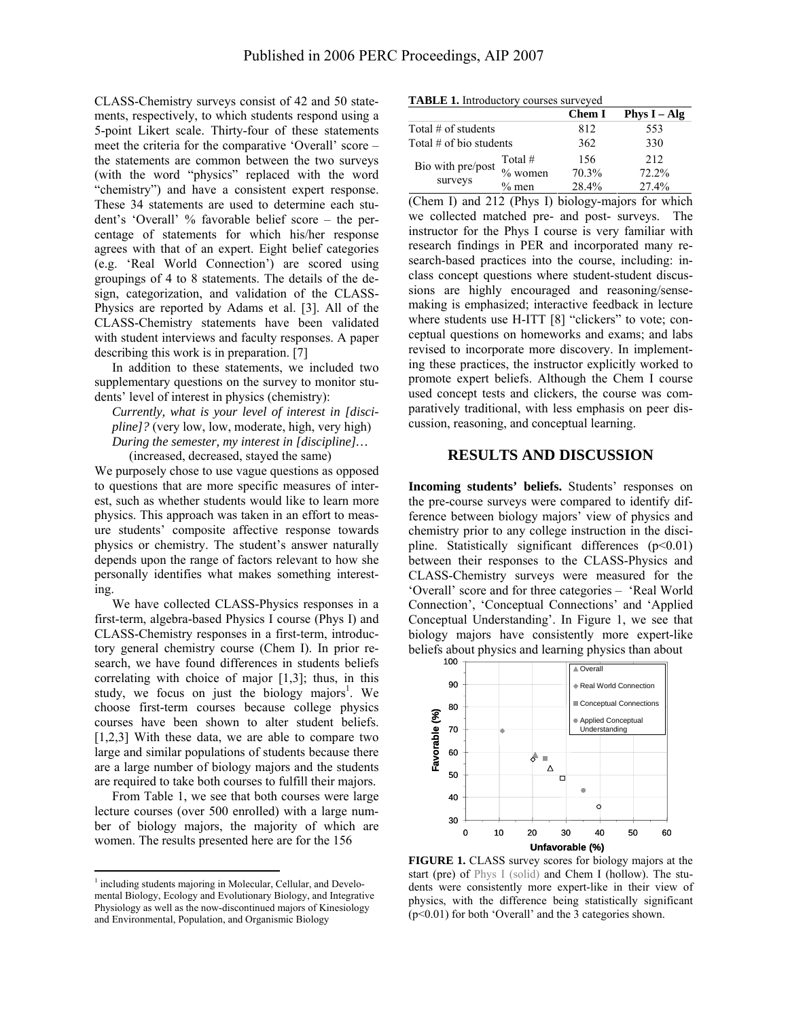CLASS-Chemistry surveys consist of 42 and 50 statements, respectively, to which students respond using a 5-point Likert scale. Thirty-four of these statements meet the criteria for the comparative 'Overall' score – the statements are common between the two surveys (with the word "physics" replaced with the word "chemistry") and have a consistent expert response. These 34 statements are used to determine each student's 'Overall' % favorable belief score – the percentage of statements for which his/her response agrees with that of an expert. Eight belief categories (e.g. 'Real World Connection') are scored using groupings of 4 to 8 statements. The details of the design, categorization, and validation of the CLASS-Physics are reported by Adams et al. [3]. All of the CLASS-Chemistry statements have been validated with student interviews and faculty responses. A paper describing this work is in preparation. [7]

In addition to these statements, we included two supplementary questions on the survey to monitor students' level of interest in physics (chemistry):

*Currently, what is your level of interest in [discipline]?* (very low, low, moderate, high, very high) *During the semester, my interest in [discipline]…*  (increased, decreased, stayed the same)

We purposely chose to use vague questions as opposed to questions that are more specific measures of interest, such as whether students would like to learn more physics. This approach was taken in an effort to measure students' composite affective response towards physics or chemistry. The student's answer naturally depends upon the range of factors relevant to how she personally identifies what makes something interesting.

We have collected CLASS-Physics responses in a first-term, algebra-based Physics I course (Phys I) and CLASS-Chemistry responses in a first-term, introductory general chemistry course (Chem I). In prior research, we have found differences in students beliefs correlating with choice of major [1,3]; thus, in this study, we focus on just the biology majors<sup>1</sup>. We choose first-term courses because college physics courses have been shown to alter student beliefs. [1,2,3] With these data, we are able to compare two large and similar populations of students because there are a large number of biology majors and the students are required to take both courses to fulfill their majors.

From Table 1, we see that both courses were large lecture courses (over 500 enrolled) with a large number of biology majors, the majority of which are women. The results presented here are for the 156

1

|  |  |  | <b>TABLE 1.</b> Introductory courses surveyed |  |  |
|--|--|--|-----------------------------------------------|--|--|
|--|--|--|-----------------------------------------------|--|--|

|                           |           | <b>Chem I</b> | Phys $I - Alg$ |
|---------------------------|-----------|---------------|----------------|
| Total $#$ of students     |           | 812           | 553            |
| Total $#$ of bio students |           | 362           | 330            |
|                           | Total $#$ | 156           | 2.12           |
| Bio with pre/post         | $%$ women | 70.3%         | $72.2\%$       |
| surveys                   | $%$ men   | 28.4%         | 27.4%          |

(Chem I) and 212 (Phys I) biology-majors for which we collected matched pre- and post- surveys. The instructor for the Phys I course is very familiar with research findings in PER and incorporated many research-based practices into the course, including: inclass concept questions where student-student discussions are highly encouraged and reasoning/sensemaking is emphasized; interactive feedback in lecture where students use H-ITT [8] "clickers" to vote; conceptual questions on homeworks and exams; and labs revised to incorporate more discovery. In implementing these practices, the instructor explicitly worked to promote expert beliefs. Although the Chem I course used concept tests and clickers, the course was comparatively traditional, with less emphasis on peer discussion, reasoning, and conceptual learning.

### **RESULTS AND DISCUSSION**

**Incoming students' beliefs.** Students' responses on the pre-course surveys were compared to identify difference between biology majors' view of physics and chemistry prior to any college instruction in the discipline. Statistically significant differences  $(p<0.01)$ between their responses to the CLASS-Physics and CLASS-Chemistry surveys were measured for the 'Overall' score and for three categories – 'Real World Connection', 'Conceptual Connections' and 'Applied Conceptual Understanding'. In Figure 1, we see that biology majors have consistently more expert-like beliefs about physics and learning physics than about



**FIGURE 1.** CLASS survey scores for biology majors at the start (pre) of Phys I (solid) and Chem I (hollow). The students were consistently more expert-like in their view of physics, with the difference being statistically significant (p<0.01) for both 'Overall' and the 3 categories shown.

<sup>&</sup>lt;sup>1</sup> including students majoring in Molecular, Cellular, and Develomental Biology, Ecology and Evolutionary Biology, and Integrative Physiology as well as the now-discontinued majors of Kinesiology and Environmental, Population, and Organismic Biology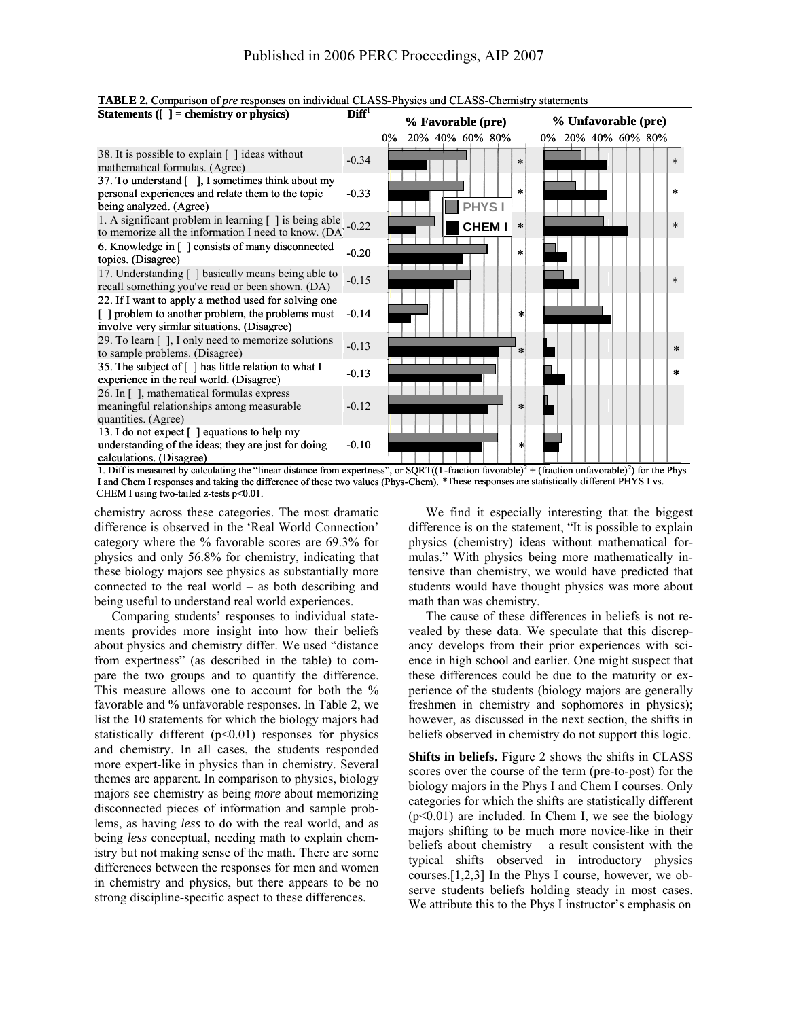

**TABLE 2.** Comparison of *pre* responses on individual CLASS-Physics and CLASS-Chemistry statements<br> **Statements** (**I** = chemistry or physics)<br> **Diff** 

I and Chem I responses and taking the difference of these two values (Phys-Chem). \*These responses are statistically different PHYS I vs. CHEM I using two-tailed z-tests p<0.01. chemistry across these categories. The most dramatic

difference is observed in the 'Real World Connection' category where the % favorable scores are 69.3% for physics and only 56.8% for chemistry, indicating that these biology majors see physics as substantially more connected to the real world – as both describing and being useful to understand real world experiences.

Comparing students' responses to individual statements provides more insight into how their beliefs about physics and chemistry differ. We used "distance from expertness" (as described in the table) to compare the two groups and to quantify the difference. This measure allows one to account for both the % favorable and % unfavorable responses. In Table 2, we list the 10 statements for which the biology majors had statistically different  $(p<0.01)$  responses for physics and chemistry. In all cases, the students responded more expert-like in physics than in chemistry. Several themes are apparent. In comparison to physics, biology majors see chemistry as being *more* about memorizing disconnected pieces of information and sample problems, as having *less* to do with the real world, and as being *less* conceptual, needing math to explain chemistry but not making sense of the math. There are some differences between the responses for men and women in chemistry and physics, but there appears to be no strong discipline-specific aspect to these differences.

We find it especially interesting that the biggest difference is on the statement, "It is possible to explain physics (chemistry) ideas without mathematical formulas." With physics being more mathematically intensive than chemistry, we would have predicted that students would have thought physics was more about math than was chemistry.

The cause of these differences in beliefs is not revealed by these data. We speculate that this discrepancy develops from their prior experiences with science in high school and earlier. One might suspect that these differences could be due to the maturity or experience of the students (biology majors are generally freshmen in chemistry and sophomores in physics); however, as discussed in the next section, the shifts in beliefs observed in chemistry do not support this logic.

**Shifts in beliefs.** Figure 2 shows the shifts in CLASS scores over the course of the term (pre-to-post) for the biology majors in the Phys I and Chem I courses. Only categories for which the shifts are statistically different  $(p<0.01)$  are included. In Chem I, we see the biology majors shifting to be much more novice-like in their beliefs about chemistry – a result consistent with the typical shifts observed in introductory physics courses.[1,2,3] In the Phys I course, however, we observe students beliefs holding steady in most cases. We attribute this to the Phys I instructor's emphasis on